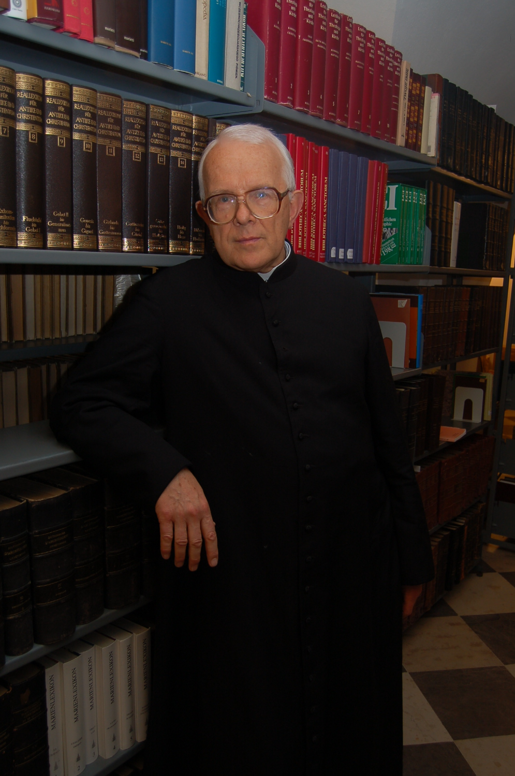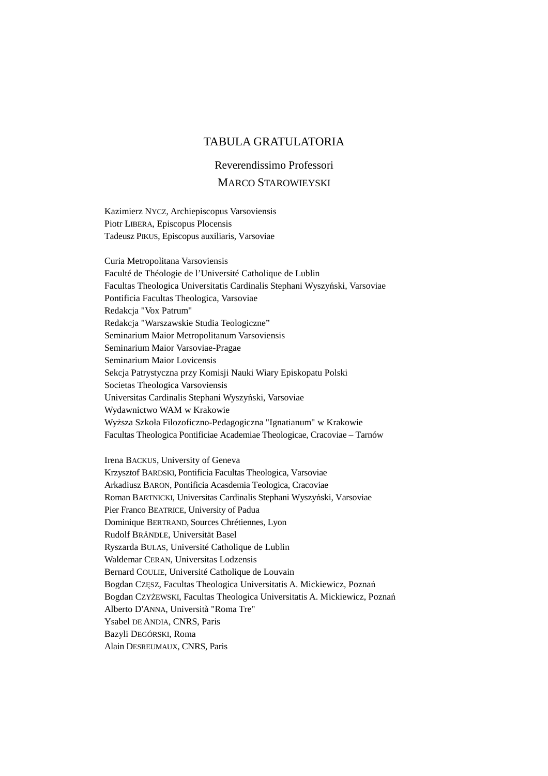## TABULA GRATULATORIA

## Reverendissimo Professori MARCO STAROWIEYSKI

Kazimierz NYCZ, Archiepiscopus Varsoviensis Piotr LIBERA, Episcopus Plocensis Tadeusz PIKUS, Episcopus auxiliaris, Varsoviae

Curia Metropolitana Varsoviensis Faculté de Théologie de l'Université Catholique de Lublin Facultas Theologica Universitatis Cardinalis Stephani Wyszyński, Varsoviae Pontificia Facultas Theologica, Varsoviae Redakcja "Vox Patrum" Redakcja "Warszawskie Studia Teologiczne" Seminarium Maior Metropolitanum Varsoviensis Seminarium Maior Varsoviae-Pragae Seminarium Maior Lovicensis Sekcja Patrystyczna przy Komisji Nauki Wiary Episkopatu Polski Societas Theologica Varsoviensis Universitas Cardinalis Stephani Wyszyński, Varsoviae Wydawnictwo WAM w Krakowie Wyższa Szkoła Filozoficzno-Pedagogiczna "Ignatianum" w Krakowie Facultas Theologica Pontificiae Academiae Theologicae, Cracoviae – Tarnów

Irena BACKUS, University of Geneva Krzysztof BARDSKI, Pontificia Facultas Theologica, Varsoviae Arkadiusz BARON, Pontificia Acasdemia Teologica, Cracoviae Roman BARTNICKI, Universitas Cardinalis Stephani Wyszyński, Varsoviae Pier Franco BEATRICE, University of Padua Dominique BERTRAND, Sources Chrétiennes, Lyon Rudolf BRÄNDLE, Universität Basel Ryszarda BULAS, Université Catholique de Lublin Waldemar CERAN, Universitas Lodzensis Bernard COULIE, Université Catholique de Louvain Bogdan CZĘSZ, Facultas Theologica Universitatis A. Mickiewicz, Poznań Bogdan CZYśEWSKI, Facultas Theologica Universitatis A. Mickiewicz, Poznań Alberto D'ANNA, Università "Roma Tre" Ysabel DE ANDIA, CNRS, Paris Bazyli DEGÓRSKI, Roma Alain DESREUMAUX, CNRS, Paris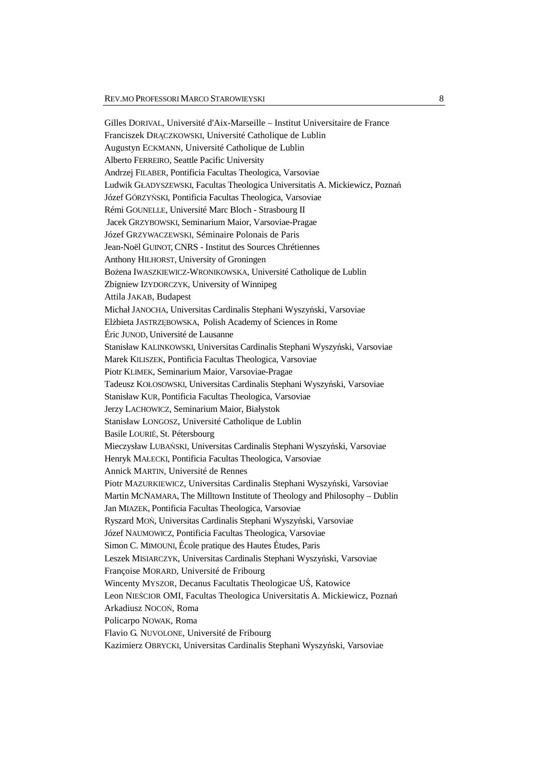Gilles DORIVAL, Université d'Aix-Marseille – Institut Universitaire de France Franciszek DRĄCZKOWSKI, Université Catholique de Lublin Augustyn ECKMANN, Université Catholique de Lublin Alberto FERREIRO, Seattle Pacific University Andrzej FILABER, Pontificia Facultas Theologica, Varsoviae Ludwik GŁADYSZEWSKI, Facultas Theologica Universitatis A. Mickiewicz, Poznań Józef GÓRZYŃSKI, Pontificia Facultas Theologica, Varsoviae Rémi GOUNELLE, Université Marc Bloch - Strasbourg II Jacek GRZYBOWSKI, Seminarium Maior, Varsoviae-Pragae Józef GRZYWACZEWSKI, Séminaire Polonais de Paris Jean-Noël GUINOT, CNRS - Institut des Sources Chrétiennes Anthony HILHORST, University of Groningen Bożena IWASZKIEWICZ-WRONIKOWSKA, Université Catholique de Lublin Zbigniew IZYDORCZYK, University of Winnipeg Attila JAKAB, Budapest Michał JANOCHA, Universitas Cardinalis Stephani Wyszyński, Varsoviae Elżbieta JASTRZĘBOWSKA, Polish Academy of Sciences in Rome Éric JUNOD, Université de Lausanne Stanisław KALINKOWSKI, Universitas Cardinalis Stephani Wyszyński, Varsoviae Marek KILISZEK, Pontificia Facultas Theologica, Varsoviae Piotr KLIMEK, Seminarium Maior, Varsoviae-Pragae Tadeusz KOŁOSOWSKI, Universitas Cardinalis Stephani Wyszyński, Varsoviae Stanisław KUR, Pontificia Facultas Theologica, Varsoviae Jerzy LACHOWICZ, Seminarium Maior, Białystok Stanisław LONGOSZ, Université Catholique de Lublin Basile LOURIÉ, St. Pétersbourg Mieczysław LUBAŃSKI, Universitas Cardinalis Stephani Wyszyński, Varsoviae Henryk MAŁECKI, Pontificia Facultas Theologica, Varsoviae Annick MARTIN, Université de Rennes Piotr MAZURKIEWICZ, Universitas Cardinalis Stephani Wyszyński, Varsoviae Martin MCNAMARA, The Milltown Institute of Theology and Philosophy – Dublin Jan MIAZEK, Pontificia Facultas Theologica, Varsoviae Ryszard MOŃ, Universitas Cardinalis Stephani Wyszyński, Varsoviae Józef NAUMOWICZ, Pontificia Facultas Theologica, Varsoviae Simon C. MIMOUNI, École pratique des Hautes Études, Paris Leszek MISIARCZYK, Universitas Cardinalis Stephani Wyszyński, Varsoviae Françoise MORARD, Université de Fribourg Wincenty MYSZOR, Decanus Facultatis Theologicae UŚ, Katowice Leon NIEŚCIOR OMI, Facultas Theologica Universitatis A. Mickiewicz, Poznań Arkadiusz NOCOŃ, Roma Policarpo NOWAK, Roma Flavio G. NUVOLONE, Université de Fribourg Kazimierz OBRYCKI, Universitas Cardinalis Stephani Wyszyński, Varsoviae